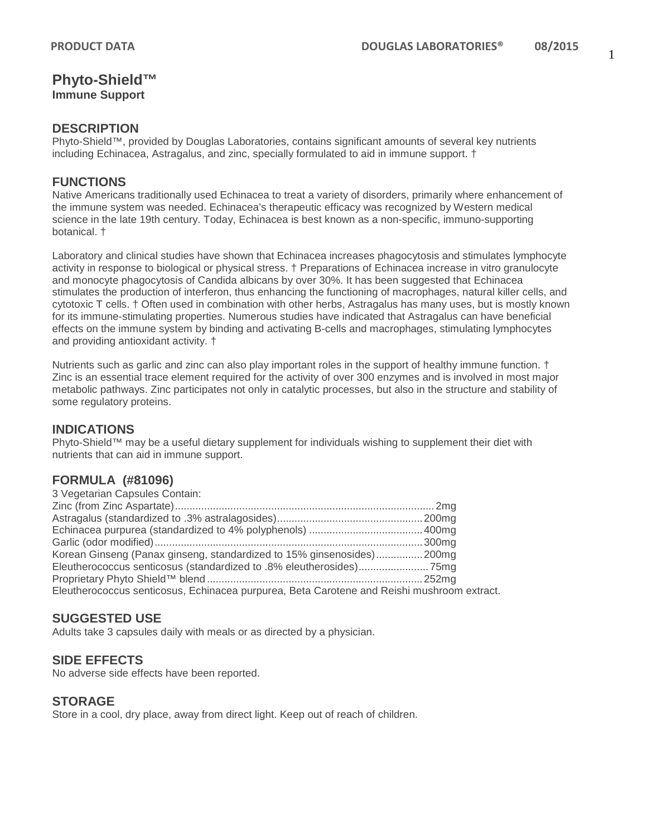# **Phyto-Shield™**

**Immune Support**

#### **DESCRIPTION**

Phyto-Shield™, provided by Douglas Laboratories, contains significant amounts of several key nutrients including Echinacea, Astragalus, and zinc, specially formulated to aid in immune support. †

#### **FUNCTIONS**

Native Americans traditionally used Echinacea to treat a variety of disorders, primarily where enhancement of the immune system was needed. Echinacea's therapeutic efficacy was recognized by Western medical science in the late 19th century. Today, Echinacea is best known as a non-specific, immuno-supporting botanical. †

Laboratory and clinical studies have shown that Echinacea increases phagocytosis and stimulates lymphocyte activity in response to biological or physical stress. † Preparations of Echinacea increase in vitro granulocyte and monocyte phagocytosis of Candida albicans by over 30%. It has been suggested that Echinacea stimulates the production of interferon, thus enhancing the functioning of macrophages, natural killer cells, and cytotoxic T cells. † Often used in combination with other herbs, Astragalus has many uses, but is mostly known for its immune-stimulating properties. Numerous studies have indicated that Astragalus can have beneficial effects on the immune system by binding and activating B-cells and macrophages, stimulating lymphocytes and providing antioxidant activity. †

Nutrients such as garlic and zinc can also play important roles in the support of healthy immune function. † Zinc is an essential trace element required for the activity of over 300 enzymes and is involved in most major metabolic pathways. Zinc participates not only in catalytic processes, but also in the structure and stability of some regulatory proteins.

# **INDICATIONS**

Phyto-Shield™ may be a useful dietary supplement for individuals wishing to supplement their diet with nutrients that can aid in immune support.

# **FORMULA (#81096)**

| 3 Vegetarian Capsules Contain:                                                             |  |
|--------------------------------------------------------------------------------------------|--|
|                                                                                            |  |
|                                                                                            |  |
|                                                                                            |  |
|                                                                                            |  |
| Korean Ginseng (Panax ginseng, standardized to 15% ginsenosides)200mg                      |  |
|                                                                                            |  |
|                                                                                            |  |
| Eleutherococcus senticosus, Echinacea purpurea, Beta Carotene and Reishi mushroom extract. |  |

# **SUGGESTED USE**

Adults take 3 capsules daily with meals or as directed by a physician.

# **SIDE EFFECTS**

No adverse side effects have been reported.

# **STORAGE**

Store in a cool, dry place, away from direct light. Keep out of reach of children.